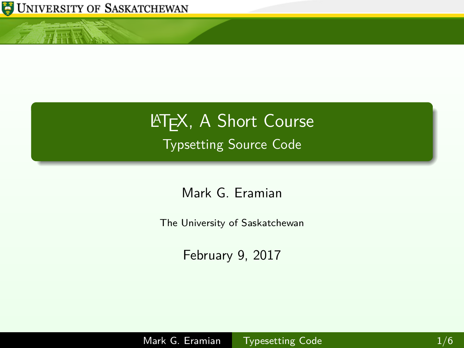

<span id="page-0-0"></span>小王怪

## **LATEX, A Short Course** Typsetting Source Code

Mark G. Eramian

The University of Saskatchewan

February 9, 2017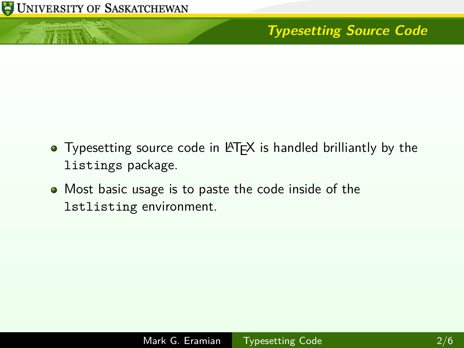

 $\sqrt{1+|{\bf k}|}$ 

## **Typesetting Source Code**

- Typesetting source code in LAT<sub>EX</sub> is handled brilliantly by the listings package.
- Most basic usage is to paste the code inside of the lstlisting environment.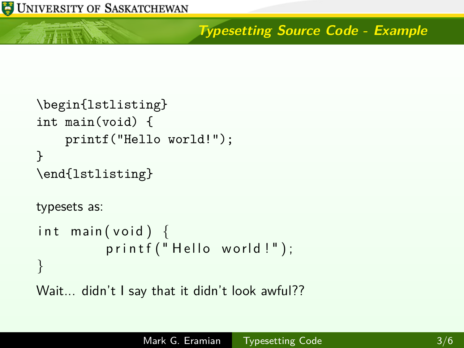$\pi$  or  $\overline{\mathbb{R}}$ 

## **Typesetting Source Code - Example**

```
\begin{lstlisting}
int main(void) {
    printf("Hello world!");
}
\end{lstlisting}
typesets as:
int main (void) \{print f("Hello world!");}
Wait... didn't I say that it didn't look awful??
```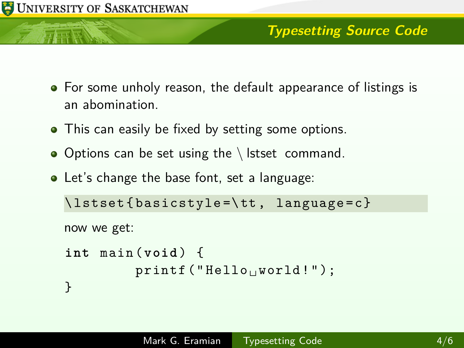

- For some unholy reason, the default appearance of listings is an abomination.
- This can easily be fixed by setting some options.
- $\bullet$  Options can be set using the \ lstset command.
- Let's change the base font, set a language:

```
\ lstset { basicstyle =\ tt , language = c }
```
now we get:

```
int main ( void ) {
         print(f("Hello_1word!");}
```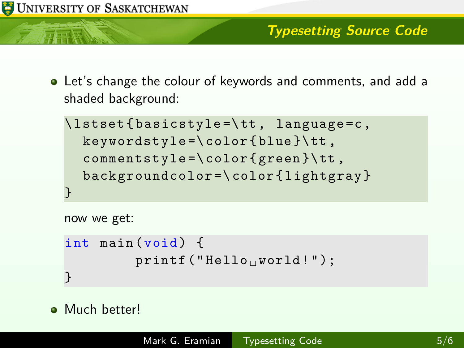

Let's change the colour of keywords and comments, and add a shaded background:

```
\ lstset { basicstyle =\ tt , language =c ,
  keywordstyle = \color { blue } \tt,
  comment style = \c{ color} { green} \tt \}backgroundcolor =\ color { lightgray }
}
```
now we get:

```
int main (void) {
        print(f("Hello_1word!");}
```
**•** Much better!